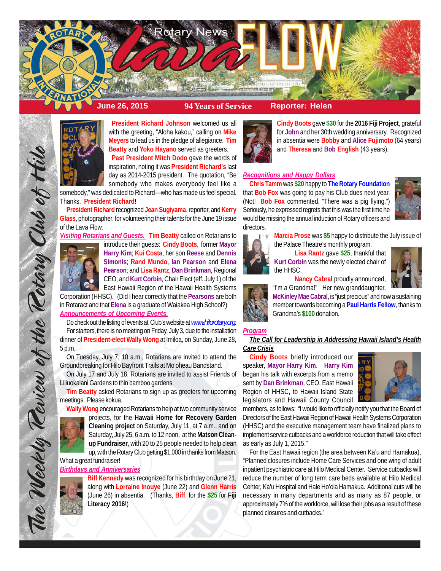



**President Richard Johnson** welcomed us all with the greeting, "Aloha kakou," calling on **Mike Meyers** to lead us in the pledge of allegiance. **Tim Beatty** and **Yoko Hayano** served as greeters. **Past President Mitch Dodo** gave the words of inspiration, noting it was **President Richard's** last day as 2014-2015 president. The quotation, "Be somebody who makes everybody feel like a

somebody," was dedicated to Richard—who has made us feel special. Thanks, **President Richard!**

**President Richard** recognized **Jean Sugiyama**, reporter, and **Kerry Glass**, photographer, for volunteering their talents for the June 19 issue of the Lava Flow.

*Visiting Rotarians and Guests.* **Tim Beatty** called on Rotarians to



introduce their guests: **Cindy Boots**, former **Mayor Harry Kim**; **Kui Costa**, her son **Reese** and **Dennis Simonis**; **Rand Mundo**, **Ian Pearson** and **Elena Pearson**; and **Lisa Rantz**, **Dan Brinkman**, Regional CEO, and **Kurt Corbin**, Chair Elect (eff. July 1) of the

East Hawaii Region of the Hawaii Health Systems Corporation (HHSC). (Did I hear correctly that the **Pearsons** are both in Rotaract and that **Elena** is a graduate of Waiakea High School?) *Announcements of Upcoming Events.*

Do check out the listing of events at Club's website at *www.hilorotary.org*. For starters, there is no meeting on Friday, July 3, due to the installation dinner of **President-elect Wally Wong** at Imiloa, on Sunday, June 28, 5 p.m.

On Tuesday, July 7, 10 a.m., Rotarians are invited to attend the Groundbreaking for Hilo Bayfront Trails at Mo'oheau Bandstand.

On July 17 and July 18, Rotarians are invited to assist Friends of Liliuokalani Gardens to thin bamboo gardens.

**Tim Beatty** asked Rotarians to sign up as greeters for upcoming meetings. Please kokua.

**Wally Wong** encouraged Rotarians to help at two community service



The Weekly Review of the Rotary Club of Hilo

projects, for the **Hawaii Home for Recovery Garden Cleaning project** on Saturday, July 11, at 7 a.m., and on Saturday, July 25, 6 a.m. to 12 noon, at the **Matson Cleanup Fundraiser**, with 20 to 25 people needed to help clean up, with the Rotary Club getting \$1,000 in thanks from Matson.

What a great fundraiser! *Birthdays and Anniversaries*



**Biff Kennedy** was recognized for his birthday on June 21, along with **Lorraine Inouye** (June 22) and **Glenn Harris** (June 26) in absentia. (Thanks, **Biff**, for the **\$25** for **Fiji Literacy 2016**!)



**Cindy Boots** gave **\$30** for the **2016 Fiji Project**, grateful for **John** and her 30th wedding anniversary. Recognized in absentia were **Bobby** and **Alice Fujimoto** (64 years) and **Theresa** and **Bob English** (43 years).

## *Recognitions and Happy Dollars*

**Chris Tamm** was **\$20** happy to **The Rotary Foundation** that **Bob Fox** was going to pay his Club dues next year. (Not! **Bob Fox** commented, "There was a pig flying.") Seriously, he expressed regrets that this was the first time he would be missing the annual induction of Rotary officers and directors.



**Marcia Prose** was **\$5** happy to distribute the July issue of the Palace Theatre's monthly program.

**Lisa Rantz** gave **\$25**, thankful that **Kurt Corbin** was the newly elected chair of the HHSC.



**Nancy Cabral** proudly announced, "I'm a Grandma!" Her new granddaughter,



**McKinley Mae Cabral**, is "just precious" and now a sustaining member towards becoming a **Paul Harris Fellow**, thanks to Grandma's **\$100** donation.

# *Program*

## *The Call for Leadership in Addressing Hawaii Island's Health Care Crisis*

**Cindy Boots** briefly introduced our speaker, **Mayor Harry Kim**. **Harry Kim** began his talk with excerpts from a memo sent by **Dan Brinkman**, CEO, East Hawaii Region of HHSC, to Hawaii Island State legislators and Hawaii County Council



members, as follows: "I would like to officially notify you that the Board of Directors of the East Hawaii Region of Hawaii Health Systems Corporation (HHSC) and the executive management team have finalized plans to implement service cutbacks and a workforce reduction that will take effect as early as July 1, 2015."

For the East Hawaii region (the area between Ka'u and Hamakua), "Planned closures include Home Care Services and one wing of adult inpatient psychiatric care at Hilo Medical Center. Service cutbacks will reduce the number of long term care beds available at Hilo Medical Center, Ka'u Hospital and Hale Ho'ola Hamakua. Additional cuts will be necessary in many departments and as many as 87 people, or approximately 7% of the workforce, will lose their jobs as a result of these planned closures and cutbacks."